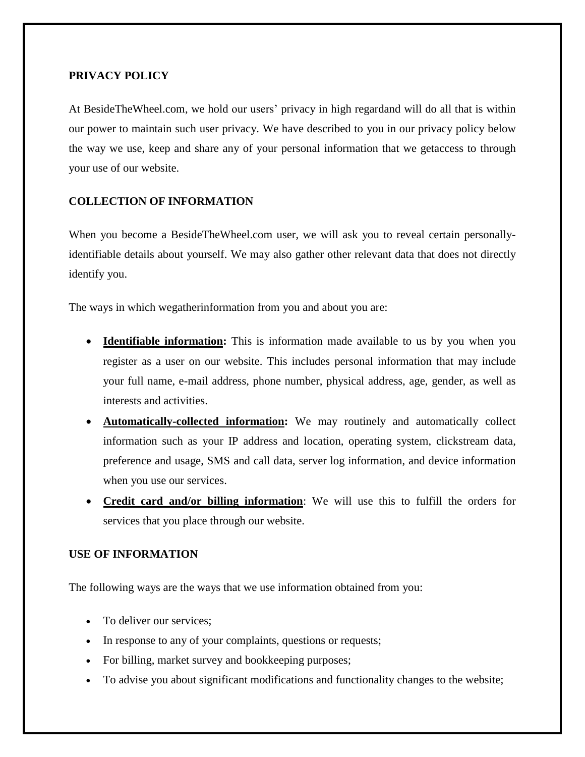## **PRIVACY POLICY**

At BesideTheWheel.com, we hold our users' privacy in high regardand will do all that is within our power to maintain such user privacy. We have described to you in our privacy policy below the way we use, keep and share any of your personal information that we getaccess to through your use of our website.

# **COLLECTION OF INFORMATION**

When you become a BesideTheWheel.com user, we will ask you to reveal certain personallyidentifiable details about yourself. We may also gather other relevant data that does not directly identify you.

The ways in which wegatherinformation from you and about you are:

- **Identifiable information:** This is information made available to us by you when you register as a user on our website. This includes personal information that may include your full name, e-mail address, phone number, physical address, age, gender, as well as interests and activities.
- **Automatically-collected information:** We may routinely and automatically collect information such as your IP address and location, operating system, clickstream data, preference and usage, SMS and call data, server log information, and device information when you use our services.
- **Credit card and/or billing information**: We will use this to fulfill the orders for services that you place through our website.

# **USE OF INFORMATION**

The following ways are the ways that we use information obtained from you:

- To deliver our services;
- In response to any of your complaints, questions or requests;
- For billing, market survey and bookkeeping purposes;
- To advise you about significant modifications and functionality changes to the website;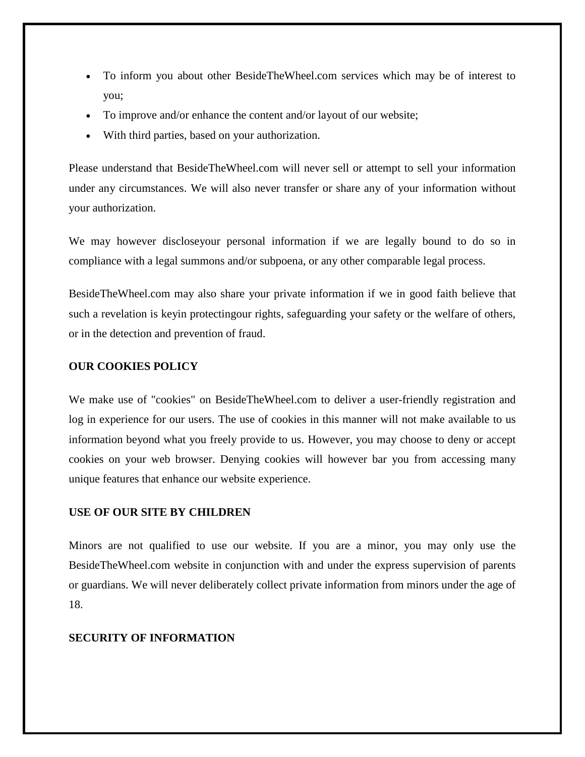- To inform you about other BesideTheWheel.com services which may be of interest to you;
- To improve and/or enhance the content and/or layout of our website;
- With third parties, based on your authorization.

Please understand that BesideTheWheel.com will never sell or attempt to sell your information under any circumstances. We will also never transfer or share any of your information without your authorization.

We may however discloseyour personal information if we are legally bound to do so in compliance with a legal summons and/or subpoena, or any other comparable legal process.

BesideTheWheel.com may also share your private information if we in good faith believe that such a revelation is keyin protectingour rights, safeguarding your safety or the welfare of others, or in the detection and prevention of fraud.

#### **OUR COOKIES POLICY**

We make use of "cookies" on BesideTheWheel.com to deliver a user-friendly registration and log in experience for our users. The use of cookies in this manner will not make available to us information beyond what you freely provide to us. However, you may choose to deny or accept cookies on your web browser. Denying cookies will however bar you from accessing many unique features that enhance our website experience.

### **USE OF OUR SITE BY CHILDREN**

Minors are not qualified to use our website. If you are a minor, you may only use the BesideTheWheel.com website in conjunction with and under the express supervision of parents or guardians. We will never deliberately collect private information from minors under the age of 18.

#### **SECURITY OF INFORMATION**